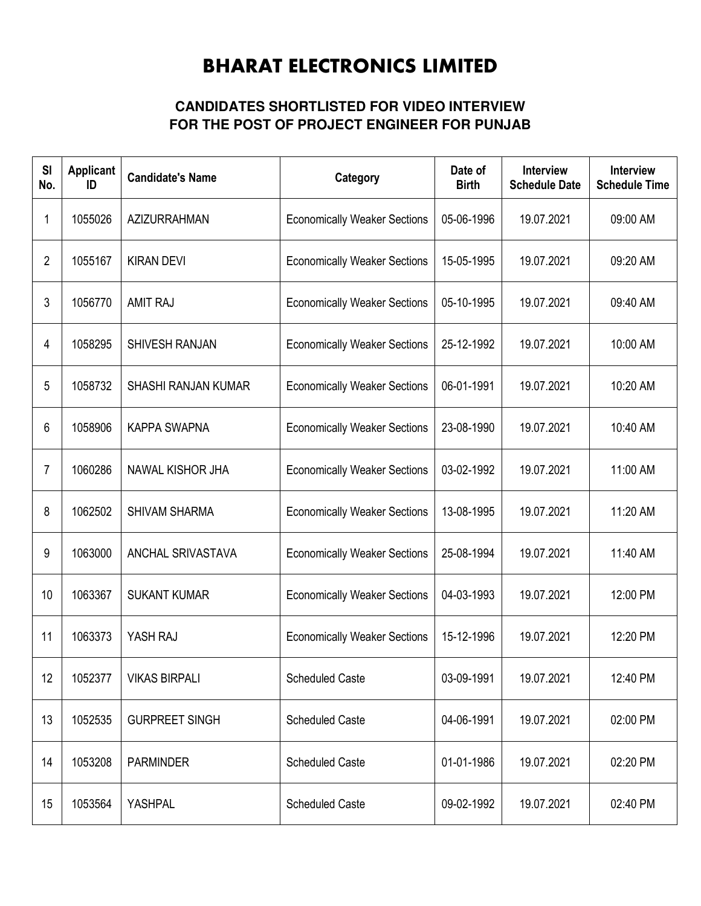## BHARAT ELECTRONICS LIMITED

## **CANDIDATES SHORTLISTED FOR VIDEO INTERVIEW FOR THE POST OF PROJECT ENGINEER FOR PUNJAB**

| SI<br>No.    | <b>Applicant</b><br>ID | <b>Candidate's Name</b> | Category                            | Date of<br><b>Birth</b> | <b>Interview</b><br><b>Schedule Date</b> | <b>Interview</b><br><b>Schedule Time</b> |
|--------------|------------------------|-------------------------|-------------------------------------|-------------------------|------------------------------------------|------------------------------------------|
| 1            | 1055026                | <b>AZIZURRAHMAN</b>     | <b>Economically Weaker Sections</b> | 05-06-1996              | 19.07.2021                               | 09:00 AM                                 |
| $\mathbf{2}$ | 1055167                | <b>KIRAN DEVI</b>       | <b>Economically Weaker Sections</b> | 15-05-1995              | 19.07.2021                               | 09:20 AM                                 |
| 3            | 1056770                | <b>AMIT RAJ</b>         | <b>Economically Weaker Sections</b> | 05-10-1995              | 19.07.2021                               | 09:40 AM                                 |
| 4            | 1058295                | SHIVESH RANJAN          | <b>Economically Weaker Sections</b> | 25-12-1992              | 19.07.2021                               | 10:00 AM                                 |
| 5            | 1058732                | SHASHI RANJAN KUMAR     | <b>Economically Weaker Sections</b> | 06-01-1991              | 19.07.2021                               | 10:20 AM                                 |
| 6            | 1058906                | <b>KAPPA SWAPNA</b>     | <b>Economically Weaker Sections</b> | 23-08-1990              | 19.07.2021                               | 10:40 AM                                 |
| 7            | 1060286                | NAWAL KISHOR JHA        | <b>Economically Weaker Sections</b> | 03-02-1992              | 19.07.2021                               | 11:00 AM                                 |
| 8            | 1062502                | <b>SHIVAM SHARMA</b>    | <b>Economically Weaker Sections</b> | 13-08-1995              | 19.07.2021                               | 11:20 AM                                 |
| 9            | 1063000                | ANCHAL SRIVASTAVA       | <b>Economically Weaker Sections</b> | 25-08-1994              | 19.07.2021                               | 11:40 AM                                 |
| 10           | 1063367                | <b>SUKANT KUMAR</b>     | <b>Economically Weaker Sections</b> | 04-03-1993              | 19.07.2021                               | 12:00 PM                                 |
| 11           | 1063373                | YASH RAJ                | <b>Economically Weaker Sections</b> | 15-12-1996              | 19.07.2021                               | 12:20 PM                                 |
| 12           | 1052377                | <b>VIKAS BIRPALI</b>    | <b>Scheduled Caste</b>              | 03-09-1991              | 19.07.2021                               | 12:40 PM                                 |
| 13           | 1052535                | <b>GURPREET SINGH</b>   | <b>Scheduled Caste</b>              | 04-06-1991              | 19.07.2021                               | 02:00 PM                                 |
| 14           | 1053208                | <b>PARMINDER</b>        | <b>Scheduled Caste</b>              | 01-01-1986              | 19.07.2021                               | 02:20 PM                                 |
| 15           | 1053564                | YASHPAL                 | <b>Scheduled Caste</b>              | 09-02-1992              | 19.07.2021                               | 02:40 PM                                 |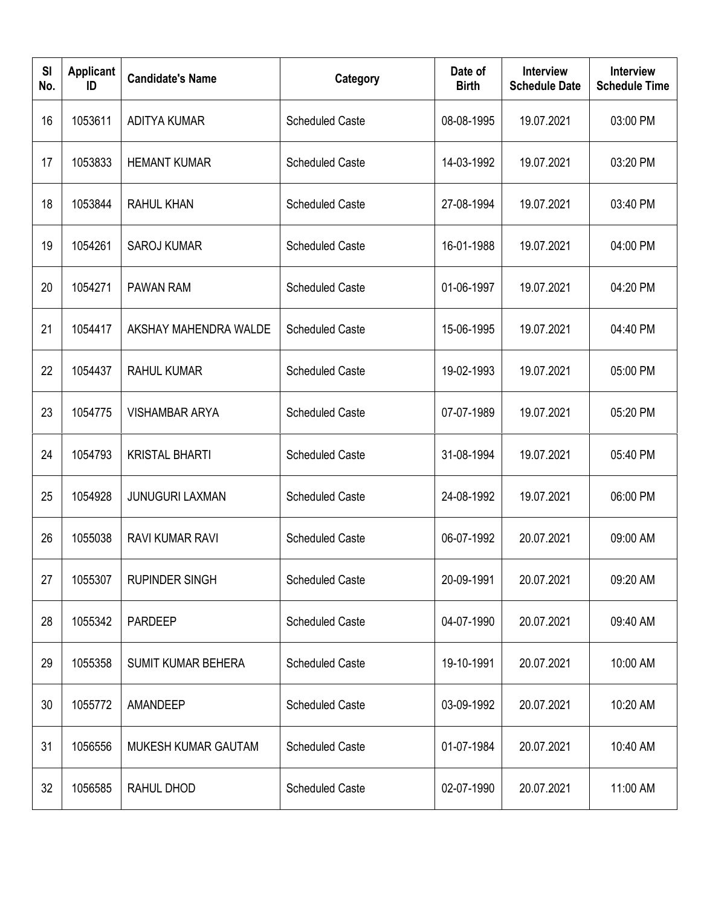| <b>SI</b><br>No. | <b>Applicant</b><br>ID | <b>Candidate's Name</b>    | Category               | Date of<br><b>Birth</b> | <b>Interview</b><br><b>Schedule Date</b> | <b>Interview</b><br><b>Schedule Time</b> |
|------------------|------------------------|----------------------------|------------------------|-------------------------|------------------------------------------|------------------------------------------|
| 16               | 1053611                | <b>ADITYA KUMAR</b>        | <b>Scheduled Caste</b> | 08-08-1995              | 19.07.2021                               | 03:00 PM                                 |
| 17               | 1053833                | <b>HEMANT KUMAR</b>        | <b>Scheduled Caste</b> | 14-03-1992              | 19.07.2021                               | 03:20 PM                                 |
| 18               | 1053844                | <b>RAHUL KHAN</b>          | <b>Scheduled Caste</b> | 27-08-1994              | 19.07.2021                               | 03:40 PM                                 |
| 19               | 1054261                | <b>SAROJ KUMAR</b>         | <b>Scheduled Caste</b> | 16-01-1988              | 19.07.2021                               | 04:00 PM                                 |
| 20               | 1054271                | PAWAN RAM                  | <b>Scheduled Caste</b> | 01-06-1997              | 19.07.2021                               | 04:20 PM                                 |
| 21               | 1054417                | AKSHAY MAHENDRA WALDE      | <b>Scheduled Caste</b> | 15-06-1995              | 19.07.2021                               | 04:40 PM                                 |
| 22               | 1054437                | <b>RAHUL KUMAR</b>         | <b>Scheduled Caste</b> | 19-02-1993              | 19.07.2021                               | 05:00 PM                                 |
| 23               | 1054775                | <b>VISHAMBAR ARYA</b>      | <b>Scheduled Caste</b> | 07-07-1989              | 19.07.2021                               | 05:20 PM                                 |
| 24               | 1054793                | <b>KRISTAL BHARTI</b>      | <b>Scheduled Caste</b> | 31-08-1994              | 19.07.2021                               | 05:40 PM                                 |
| 25               | 1054928                | <b>JUNUGURI LAXMAN</b>     | <b>Scheduled Caste</b> | 24-08-1992              | 19.07.2021                               | 06:00 PM                                 |
| 26               | 1055038                | RAVI KUMAR RAVI            | <b>Scheduled Caste</b> | 06-07-1992              | 20.07.2021                               | 09:00 AM                                 |
| 27               | 1055307                | <b>RUPINDER SINGH</b>      | <b>Scheduled Caste</b> | 20-09-1991              | 20.07.2021                               | 09:20 AM                                 |
| 28               | 1055342                | <b>PARDEEP</b>             | <b>Scheduled Caste</b> | 04-07-1990              | 20.07.2021                               | 09:40 AM                                 |
| 29               | 1055358                | SUMIT KUMAR BEHERA         | <b>Scheduled Caste</b> | 19-10-1991              | 20.07.2021                               | 10:00 AM                                 |
| 30               | 1055772                | AMANDEEP                   | <b>Scheduled Caste</b> | 03-09-1992              | 20.07.2021                               | 10:20 AM                                 |
| 31               | 1056556                | <b>MUKESH KUMAR GAUTAM</b> | <b>Scheduled Caste</b> | 01-07-1984              | 20.07.2021                               | 10:40 AM                                 |
| 32               | 1056585                | RAHUL DHOD                 | <b>Scheduled Caste</b> | 02-07-1990              | 20.07.2021                               | 11:00 AM                                 |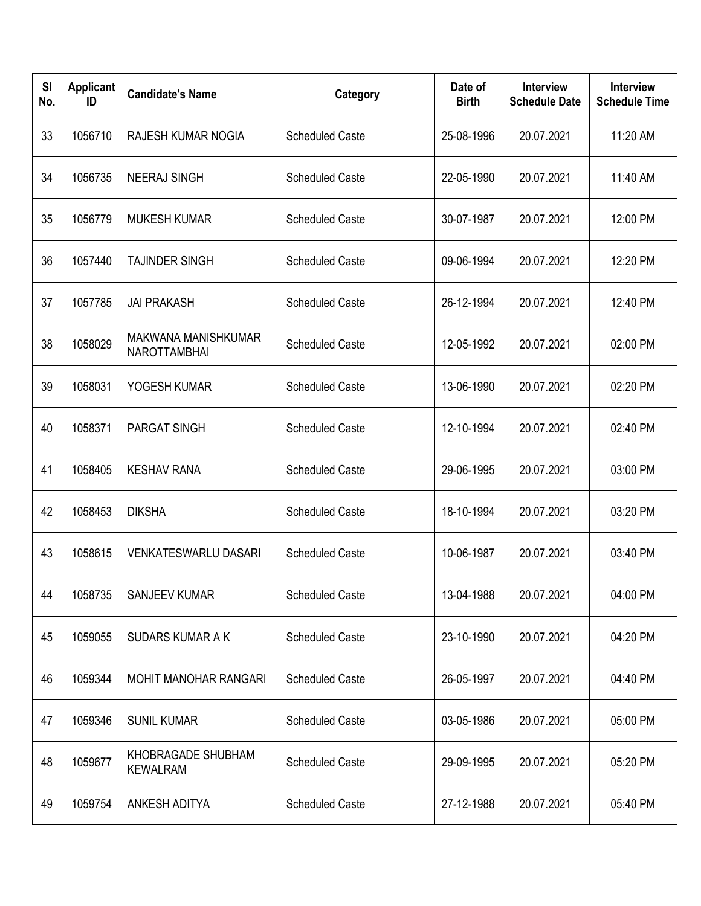| SI<br>No. | <b>Applicant</b><br>ID | <b>Candidate's Name</b>                    | Category               | Date of<br><b>Birth</b> | <b>Interview</b><br><b>Schedule Date</b> | Interview<br><b>Schedule Time</b> |
|-----------|------------------------|--------------------------------------------|------------------------|-------------------------|------------------------------------------|-----------------------------------|
| 33        | 1056710                | RAJESH KUMAR NOGIA                         | <b>Scheduled Caste</b> | 25-08-1996              | 20.07.2021                               | 11:20 AM                          |
| 34        | 1056735                | <b>NEERAJ SINGH</b>                        | <b>Scheduled Caste</b> | 22-05-1990              | 20.07.2021                               | 11:40 AM                          |
| 35        | 1056779                | <b>MUKESH KUMAR</b>                        | <b>Scheduled Caste</b> | 30-07-1987              | 20.07.2021                               | 12:00 PM                          |
| 36        | 1057440                | <b>TAJINDER SINGH</b>                      | <b>Scheduled Caste</b> | 09-06-1994              | 20.07.2021                               | 12:20 PM                          |
| 37        | 1057785                | <b>JAI PRAKASH</b>                         | <b>Scheduled Caste</b> | 26-12-1994              | 20.07.2021                               | 12:40 PM                          |
| 38        | 1058029                | MAKWANA MANISHKUMAR<br><b>NAROTTAMBHAI</b> | <b>Scheduled Caste</b> | 12-05-1992              | 20.07.2021                               | 02:00 PM                          |
| 39        | 1058031                | YOGESH KUMAR                               | <b>Scheduled Caste</b> | 13-06-1990              | 20.07.2021                               | 02:20 PM                          |
| 40        | 1058371                | <b>PARGAT SINGH</b>                        | <b>Scheduled Caste</b> | 12-10-1994              | 20.07.2021                               | 02:40 PM                          |
| 41        | 1058405                | <b>KESHAV RANA</b>                         | <b>Scheduled Caste</b> | 29-06-1995              | 20.07.2021                               | 03:00 PM                          |
| 42        | 1058453                | <b>DIKSHA</b>                              | <b>Scheduled Caste</b> | 18-10-1994              | 20.07.2021                               | 03:20 PM                          |
| 43        | 1058615                | <b>VENKATESWARLU DASARI</b>                | <b>Scheduled Caste</b> | 10-06-1987              | 20.07.2021                               | 03:40 PM                          |
| 44        | 1058735                | <b>SANJEEV KUMAR</b>                       | <b>Scheduled Caste</b> | 13-04-1988              | 20.07.2021                               | 04:00 PM                          |
| 45        | 1059055                | <b>SUDARS KUMAR A K</b>                    | <b>Scheduled Caste</b> | 23-10-1990              | 20.07.2021                               | 04:20 PM                          |
| 46        | 1059344                | MOHIT MANOHAR RANGARI                      | <b>Scheduled Caste</b> | 26-05-1997              | 20.07.2021                               | 04:40 PM                          |
| 47        | 1059346                | <b>SUNIL KUMAR</b>                         | <b>Scheduled Caste</b> | 03-05-1986              | 20.07.2021                               | 05:00 PM                          |
| 48        | 1059677                | KHOBRAGADE SHUBHAM<br><b>KEWALRAM</b>      | <b>Scheduled Caste</b> | 29-09-1995              | 20.07.2021                               | 05:20 PM                          |
| 49        | 1059754                | ANKESH ADITYA                              | <b>Scheduled Caste</b> | 27-12-1988              | 20.07.2021                               | 05:40 PM                          |

I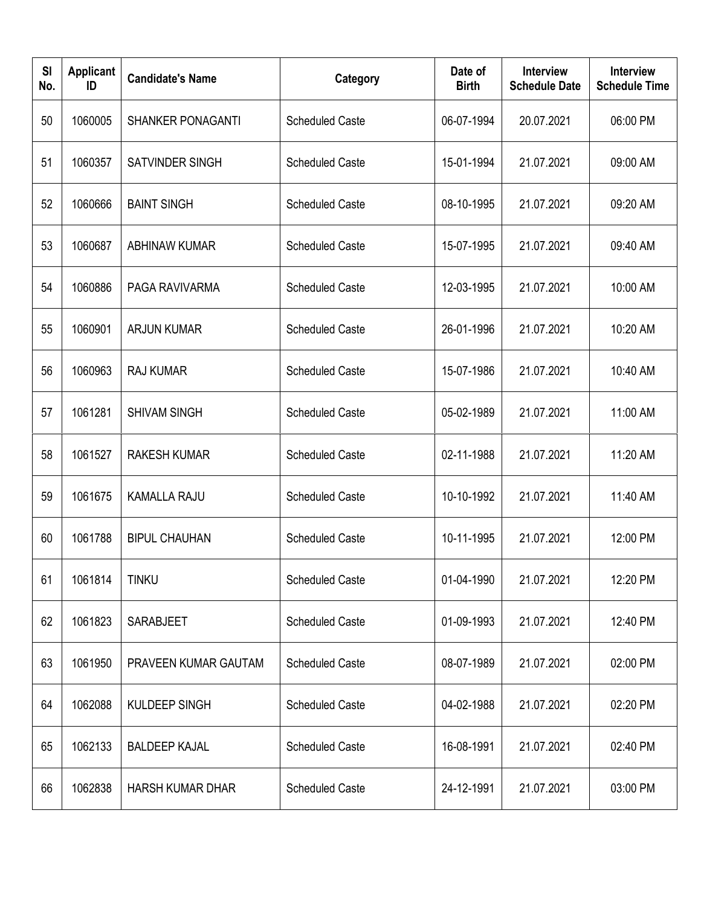| <b>SI</b><br>No. | <b>Applicant</b><br>ID | <b>Candidate's Name</b>  | Category               | Date of<br><b>Birth</b> | <b>Interview</b><br><b>Schedule Date</b> | <b>Interview</b><br><b>Schedule Time</b> |
|------------------|------------------------|--------------------------|------------------------|-------------------------|------------------------------------------|------------------------------------------|
| 50               | 1060005                | <b>SHANKER PONAGANTI</b> | <b>Scheduled Caste</b> | 06-07-1994              | 20.07.2021                               | 06:00 PM                                 |
| 51               | 1060357                | SATVINDER SINGH          | <b>Scheduled Caste</b> | 15-01-1994              | 21.07.2021                               | 09:00 AM                                 |
| 52               | 1060666                | <b>BAINT SINGH</b>       | <b>Scheduled Caste</b> | 08-10-1995              | 21.07.2021                               | 09:20 AM                                 |
| 53               | 1060687                | <b>ABHINAW KUMAR</b>     | <b>Scheduled Caste</b> | 15-07-1995              | 21.07.2021                               | 09:40 AM                                 |
| 54               | 1060886                | PAGA RAVIVARMA           | <b>Scheduled Caste</b> | 12-03-1995              | 21.07.2021                               | 10:00 AM                                 |
| 55               | 1060901                | <b>ARJUN KUMAR</b>       | <b>Scheduled Caste</b> | 26-01-1996              | 21.07.2021                               | 10:20 AM                                 |
| 56               | 1060963                | <b>RAJ KUMAR</b>         | <b>Scheduled Caste</b> | 15-07-1986              | 21.07.2021                               | 10:40 AM                                 |
| 57               | 1061281                | <b>SHIVAM SINGH</b>      | <b>Scheduled Caste</b> | 05-02-1989              | 21.07.2021                               | 11:00 AM                                 |
| 58               | 1061527                | <b>RAKESH KUMAR</b>      | <b>Scheduled Caste</b> | 02-11-1988              | 21.07.2021                               | 11:20 AM                                 |
| 59               | 1061675                | <b>KAMALLA RAJU</b>      | <b>Scheduled Caste</b> | 10-10-1992              | 21.07.2021                               | 11:40 AM                                 |
| 60               | 1061788                | <b>BIPUL CHAUHAN</b>     | <b>Scheduled Caste</b> | 10-11-1995              | 21.07.2021                               | 12:00 PM                                 |
| 61               | 1061814                | <b>TINKU</b>             | <b>Scheduled Caste</b> | 01-04-1990              | 21.07.2021                               | 12:20 PM                                 |
| 62               | 1061823                | SARABJEET                | <b>Scheduled Caste</b> | 01-09-1993              | 21.07.2021                               | 12:40 PM                                 |
| 63               | 1061950                | PRAVEEN KUMAR GAUTAM     | <b>Scheduled Caste</b> | 08-07-1989              | 21.07.2021                               | 02:00 PM                                 |
| 64               | 1062088                | <b>KULDEEP SINGH</b>     | <b>Scheduled Caste</b> | 04-02-1988              | 21.07.2021                               | 02:20 PM                                 |
| 65               | 1062133                | <b>BALDEEP KAJAL</b>     | <b>Scheduled Caste</b> | 16-08-1991              | 21.07.2021                               | 02:40 PM                                 |
| 66               | 1062838                | <b>HARSH KUMAR DHAR</b>  | <b>Scheduled Caste</b> | 24-12-1991              | 21.07.2021                               | 03:00 PM                                 |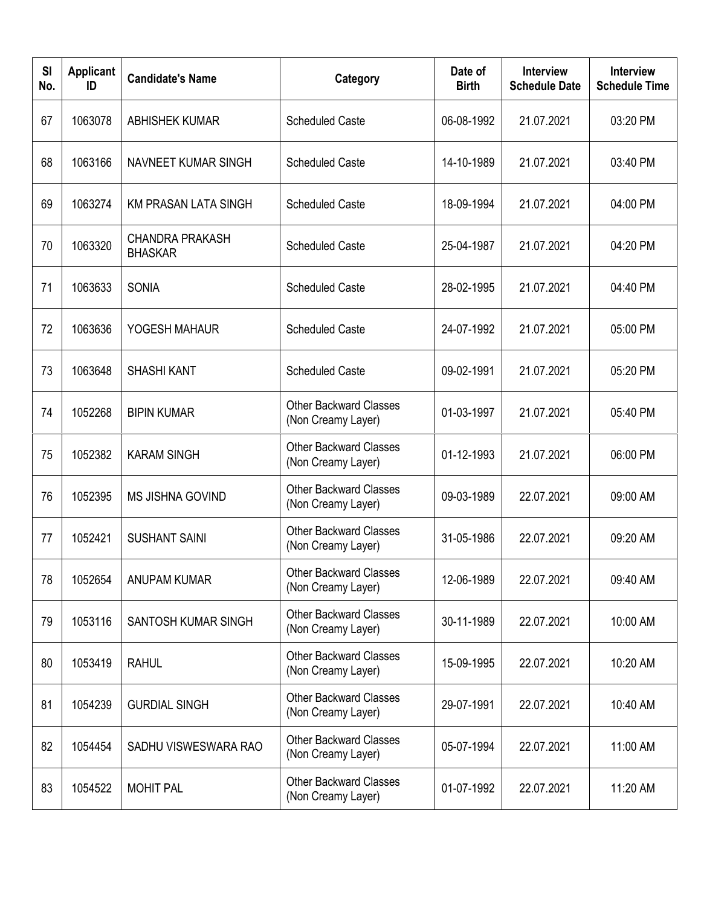| <b>SI</b><br>No. | <b>Applicant</b><br>ID | <b>Candidate's Name</b>                  | Category                                            | Date of<br><b>Birth</b> | <b>Interview</b><br><b>Schedule Date</b> | <b>Interview</b><br><b>Schedule Time</b> |
|------------------|------------------------|------------------------------------------|-----------------------------------------------------|-------------------------|------------------------------------------|------------------------------------------|
| 67               | 1063078                | <b>ABHISHEK KUMAR</b>                    | <b>Scheduled Caste</b>                              | 06-08-1992              | 21.07.2021                               | 03:20 PM                                 |
| 68               | 1063166                | <b>NAVNEET KUMAR SINGH</b>               | <b>Scheduled Caste</b>                              | 14-10-1989              | 21.07.2021                               | 03:40 PM                                 |
| 69               | 1063274                | <b>KM PRASAN LATA SINGH</b>              | <b>Scheduled Caste</b>                              | 18-09-1994              | 21.07.2021                               | 04:00 PM                                 |
| 70               | 1063320                | <b>CHANDRA PRAKASH</b><br><b>BHASKAR</b> | <b>Scheduled Caste</b>                              | 25-04-1987              | 21.07.2021                               | 04:20 PM                                 |
| 71               | 1063633                | <b>SONIA</b>                             | <b>Scheduled Caste</b>                              | 28-02-1995              | 21.07.2021                               | 04:40 PM                                 |
| 72               | 1063636                | YOGESH MAHAUR                            | <b>Scheduled Caste</b>                              | 24-07-1992              | 21.07.2021                               | 05:00 PM                                 |
| 73               | 1063648                | <b>SHASHI KANT</b>                       | <b>Scheduled Caste</b>                              | 09-02-1991              | 21.07.2021                               | 05:20 PM                                 |
| 74               | 1052268                | <b>BIPIN KUMAR</b>                       | <b>Other Backward Classes</b><br>(Non Creamy Layer) | 01-03-1997              | 21.07.2021                               | 05:40 PM                                 |
| 75               | 1052382                | <b>KARAM SINGH</b>                       | <b>Other Backward Classes</b><br>(Non Creamy Layer) | 01-12-1993              | 21.07.2021                               | 06:00 PM                                 |
| 76               | 1052395                | <b>MS JISHNA GOVIND</b>                  | <b>Other Backward Classes</b><br>(Non Creamy Layer) | 09-03-1989              | 22.07.2021                               | 09:00 AM                                 |
| 77               | 1052421                | <b>SUSHANT SAINI</b>                     | <b>Other Backward Classes</b><br>(Non Creamy Layer) | 31-05-1986              | 22.07.2021                               | 09:20 AM                                 |
| 78               | 1052654                | <b>ANUPAM KUMAR</b>                      | <b>Other Backward Classes</b><br>(Non Creamy Layer) | 12-06-1989              | 22.07.2021                               | 09:40 AM                                 |
| 79               | 1053116                | SANTOSH KUMAR SINGH                      | <b>Other Backward Classes</b><br>(Non Creamy Layer) | 30-11-1989              | 22.07.2021                               | 10:00 AM                                 |
| 80               | 1053419                | <b>RAHUL</b>                             | <b>Other Backward Classes</b><br>(Non Creamy Layer) | 15-09-1995              | 22.07.2021                               | 10:20 AM                                 |
| 81               | 1054239                | <b>GURDIAL SINGH</b>                     | <b>Other Backward Classes</b><br>(Non Creamy Layer) | 29-07-1991              | 22.07.2021                               | 10:40 AM                                 |
| 82               | 1054454                | SADHU VISWESWARA RAO                     | <b>Other Backward Classes</b><br>(Non Creamy Layer) | 05-07-1994              | 22.07.2021                               | 11:00 AM                                 |
| 83               | 1054522                | <b>MOHIT PAL</b>                         | <b>Other Backward Classes</b><br>(Non Creamy Layer) | 01-07-1992              | 22.07.2021                               | 11:20 AM                                 |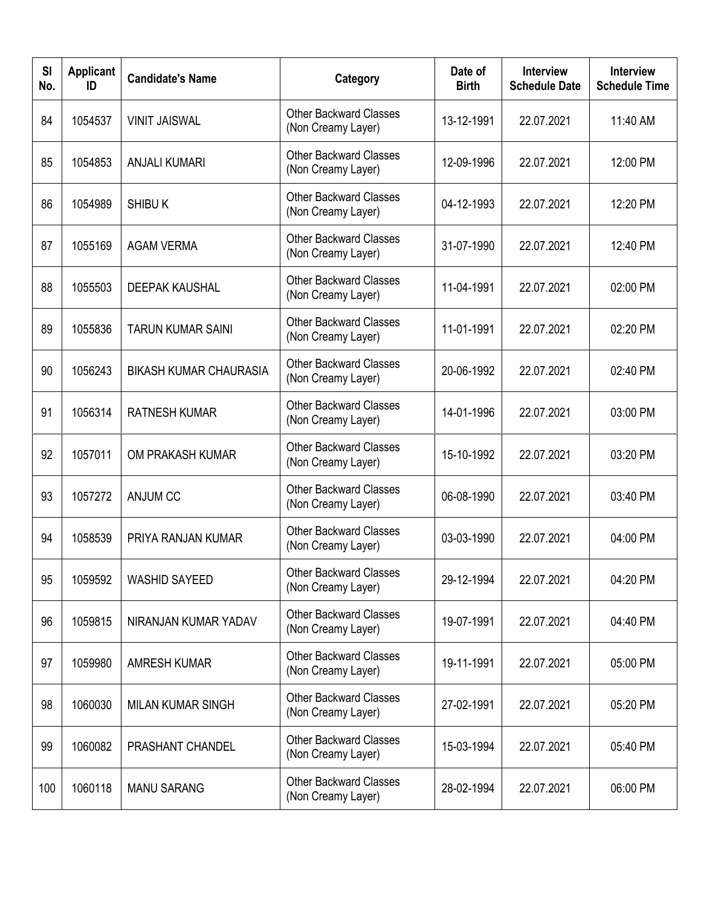| SI<br>No. | <b>Applicant</b><br>ID | <b>Candidate's Name</b>       | Category                                            | Date of<br><b>Birth</b> | <b>Interview</b><br><b>Schedule Date</b> | Interview<br><b>Schedule Time</b> |
|-----------|------------------------|-------------------------------|-----------------------------------------------------|-------------------------|------------------------------------------|-----------------------------------|
| 84        | 1054537                | <b>VINIT JAISWAL</b>          | <b>Other Backward Classes</b><br>(Non Creamy Layer) | 13-12-1991              | 22.07.2021                               | 11:40 AM                          |
| 85        | 1054853                | <b>ANJALI KUMARI</b>          | <b>Other Backward Classes</b><br>(Non Creamy Layer) | 12-09-1996              | 22.07.2021                               | 12:00 PM                          |
| 86        | 1054989                | <b>SHIBU K</b>                | <b>Other Backward Classes</b><br>(Non Creamy Layer) | 04-12-1993              | 22.07.2021                               | 12:20 PM                          |
| 87        | 1055169                | <b>AGAM VERMA</b>             | <b>Other Backward Classes</b><br>(Non Creamy Layer) | 31-07-1990              | 22.07.2021                               | 12:40 PM                          |
| 88        | 1055503                | <b>DEEPAK KAUSHAL</b>         | <b>Other Backward Classes</b><br>(Non Creamy Layer) | 11-04-1991              | 22.07.2021                               | 02:00 PM                          |
| 89        | 1055836                | <b>TARUN KUMAR SAINI</b>      | <b>Other Backward Classes</b><br>(Non Creamy Layer) | 11-01-1991              | 22.07.2021                               | 02:20 PM                          |
| 90        | 1056243                | <b>BIKASH KUMAR CHAURASIA</b> | <b>Other Backward Classes</b><br>(Non Creamy Layer) | 20-06-1992              | 22.07.2021                               | 02:40 PM                          |
| 91        | 1056314                | <b>RATNESH KUMAR</b>          | <b>Other Backward Classes</b><br>(Non Creamy Layer) | 14-01-1996              | 22.07.2021                               | 03:00 PM                          |
| 92        | 1057011                | OM PRAKASH KUMAR              | <b>Other Backward Classes</b><br>(Non Creamy Layer) | 15-10-1992              | 22.07.2021                               | 03:20 PM                          |
| 93        | 1057272                | <b>ANJUM CC</b>               | <b>Other Backward Classes</b><br>(Non Creamy Layer) | 06-08-1990              | 22.07.2021                               | 03:40 PM                          |
| 94        | 1058539                | PRIYA RANJAN KUMAR            | <b>Other Backward Classes</b><br>(Non Creamy Layer) | 03-03-1990              | 22.07.2021                               | 04:00 PM                          |
| 95        | 1059592                | <b>WASHID SAYEED</b>          | <b>Other Backward Classes</b><br>(Non Creamy Layer) | 29-12-1994              | 22.07.2021                               | 04:20 PM                          |
| 96        | 1059815                | NIRANJAN KUMAR YADAV          | <b>Other Backward Classes</b><br>(Non Creamy Layer) | 19-07-1991              | 22.07.2021                               | 04:40 PM                          |
| 97        | 1059980                | <b>AMRESH KUMAR</b>           | <b>Other Backward Classes</b><br>(Non Creamy Layer) | 19-11-1991              | 22.07.2021                               | 05:00 PM                          |
| 98        | 1060030                | <b>MILAN KUMAR SINGH</b>      | <b>Other Backward Classes</b><br>(Non Creamy Layer) | 27-02-1991              | 22.07.2021                               | 05:20 PM                          |
| 99        | 1060082                | PRASHANT CHANDEL              | <b>Other Backward Classes</b><br>(Non Creamy Layer) | 15-03-1994              | 22.07.2021                               | 05:40 PM                          |
| 100       | 1060118                | <b>MANU SARANG</b>            | <b>Other Backward Classes</b><br>(Non Creamy Layer) | 28-02-1994              | 22.07.2021                               | 06:00 PM                          |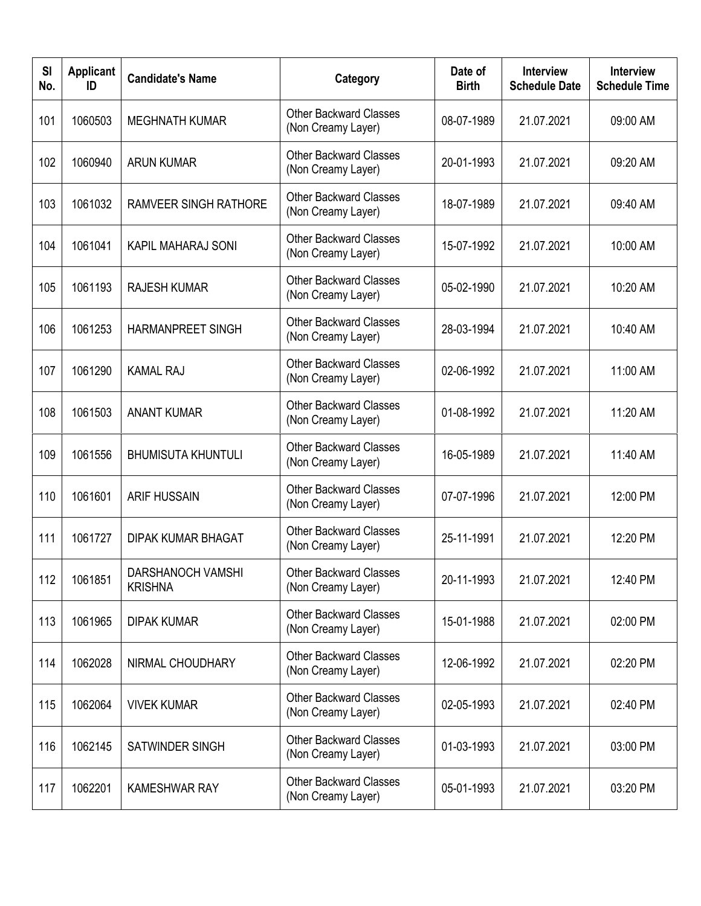| SI<br>No. | <b>Applicant</b><br>ID | <b>Candidate's Name</b>             | Category                                            | Date of<br><b>Birth</b> | <b>Interview</b><br><b>Schedule Date</b> | Interview<br><b>Schedule Time</b> |
|-----------|------------------------|-------------------------------------|-----------------------------------------------------|-------------------------|------------------------------------------|-----------------------------------|
| 101       | 1060503                | <b>MEGHNATH KUMAR</b>               | <b>Other Backward Classes</b><br>(Non Creamy Layer) | 08-07-1989              | 21.07.2021                               | 09:00 AM                          |
| 102       | 1060940                | <b>ARUN KUMAR</b>                   | <b>Other Backward Classes</b><br>(Non Creamy Layer) | 20-01-1993              | 21.07.2021                               | 09:20 AM                          |
| 103       | 1061032                | <b>RAMVEER SINGH RATHORE</b>        | <b>Other Backward Classes</b><br>(Non Creamy Layer) | 18-07-1989              | 21.07.2021                               | 09:40 AM                          |
| 104       | 1061041                | <b>KAPIL MAHARAJ SONI</b>           | <b>Other Backward Classes</b><br>(Non Creamy Layer) | 15-07-1992              | 21.07.2021                               | 10:00 AM                          |
| 105       | 1061193                | <b>RAJESH KUMAR</b>                 | <b>Other Backward Classes</b><br>(Non Creamy Layer) | 05-02-1990              | 21.07.2021                               | 10:20 AM                          |
| 106       | 1061253                | <b>HARMANPREET SINGH</b>            | <b>Other Backward Classes</b><br>(Non Creamy Layer) | 28-03-1994              | 21.07.2021                               | 10:40 AM                          |
| 107       | 1061290                | <b>KAMAL RAJ</b>                    | <b>Other Backward Classes</b><br>(Non Creamy Layer) | 02-06-1992              | 21.07.2021                               | 11:00 AM                          |
| 108       | 1061503                | <b>ANANT KUMAR</b>                  | <b>Other Backward Classes</b><br>(Non Creamy Layer) | 01-08-1992              | 21.07.2021                               | 11:20 AM                          |
| 109       | 1061556                | <b>BHUMISUTA KHUNTULI</b>           | <b>Other Backward Classes</b><br>(Non Creamy Layer) | 16-05-1989              | 21.07.2021                               | 11:40 AM                          |
| 110       | 1061601                | <b>ARIF HUSSAIN</b>                 | <b>Other Backward Classes</b><br>(Non Creamy Layer) | 07-07-1996              | 21.07.2021                               | 12:00 PM                          |
| 111       | 1061727                | <b>DIPAK KUMAR BHAGAT</b>           | <b>Other Backward Classes</b><br>(Non Creamy Layer) | 25-11-1991              | 21.07.2021                               | 12:20 PM                          |
| 112       | 1061851                | DARSHANOCH VAMSHI<br><b>KRISHNA</b> | <b>Other Backward Classes</b><br>(Non Creamy Layer) | 20-11-1993              | 21.07.2021                               | 12:40 PM                          |
| 113       | 1061965                | <b>DIPAK KUMAR</b>                  | <b>Other Backward Classes</b><br>(Non Creamy Layer) | 15-01-1988              | 21.07.2021                               | 02:00 PM                          |
| 114       | 1062028                | NIRMAL CHOUDHARY                    | <b>Other Backward Classes</b><br>(Non Creamy Layer) | 12-06-1992              | 21.07.2021                               | 02:20 PM                          |
| 115       | 1062064                | <b>VIVEK KUMAR</b>                  | <b>Other Backward Classes</b><br>(Non Creamy Layer) | 02-05-1993              | 21.07.2021                               | 02:40 PM                          |
| 116       | 1062145                | SATWINDER SINGH                     | <b>Other Backward Classes</b><br>(Non Creamy Layer) | 01-03-1993              | 21.07.2021                               | 03:00 PM                          |
| 117       | 1062201                | <b>KAMESHWAR RAY</b>                | <b>Other Backward Classes</b><br>(Non Creamy Layer) | 05-01-1993              | 21.07.2021                               | 03:20 PM                          |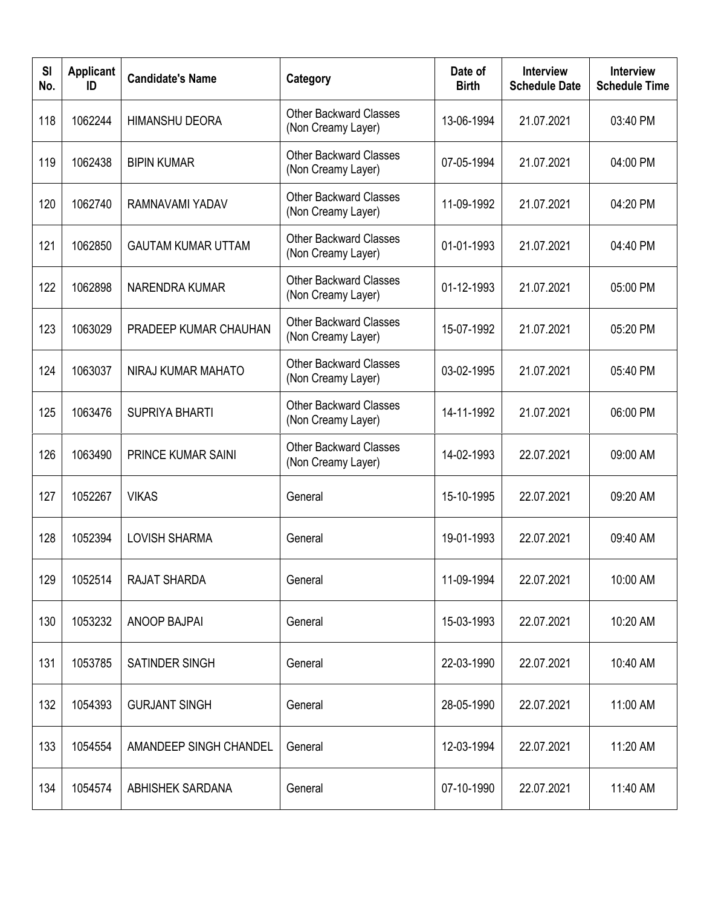| SI<br>No. | <b>Applicant</b><br>ID | <b>Candidate's Name</b>   | Category                                            | Date of<br><b>Birth</b> | <b>Interview</b><br><b>Schedule Date</b> | <b>Interview</b><br><b>Schedule Time</b> |
|-----------|------------------------|---------------------------|-----------------------------------------------------|-------------------------|------------------------------------------|------------------------------------------|
| 118       | 1062244                | <b>HIMANSHU DEORA</b>     | <b>Other Backward Classes</b><br>(Non Creamy Layer) | 13-06-1994              | 21.07.2021                               | 03:40 PM                                 |
| 119       | 1062438                | <b>BIPIN KUMAR</b>        | <b>Other Backward Classes</b><br>(Non Creamy Layer) | 07-05-1994              | 21.07.2021                               | 04:00 PM                                 |
| 120       | 1062740                | RAMNAVAMI YADAV           | <b>Other Backward Classes</b><br>(Non Creamy Layer) | 11-09-1992              | 21.07.2021                               | 04:20 PM                                 |
| 121       | 1062850                | <b>GAUTAM KUMAR UTTAM</b> | <b>Other Backward Classes</b><br>(Non Creamy Layer) | 01-01-1993              | 21.07.2021                               | 04:40 PM                                 |
| 122       | 1062898                | NARENDRA KUMAR            | <b>Other Backward Classes</b><br>(Non Creamy Layer) | 01-12-1993              | 21.07.2021                               | 05:00 PM                                 |
| 123       | 1063029                | PRADEEP KUMAR CHAUHAN     | <b>Other Backward Classes</b><br>(Non Creamy Layer) | 15-07-1992              | 21.07.2021                               | 05:20 PM                                 |
| 124       | 1063037                | NIRAJ KUMAR MAHATO        | <b>Other Backward Classes</b><br>(Non Creamy Layer) | 03-02-1995              | 21.07.2021                               | 05:40 PM                                 |
| 125       | 1063476                | <b>SUPRIYA BHARTI</b>     | <b>Other Backward Classes</b><br>(Non Creamy Layer) | 14-11-1992              | 21.07.2021                               | 06:00 PM                                 |
| 126       | 1063490                | <b>PRINCE KUMAR SAINI</b> | <b>Other Backward Classes</b><br>(Non Creamy Layer) | 14-02-1993              | 22.07.2021                               | 09:00 AM                                 |
| 127       | 1052267                | <b>VIKAS</b>              | General                                             | 15-10-1995              | 22.07.2021                               | 09:20 AM                                 |
| 128       | 1052394                | <b>LOVISH SHARMA</b>      | General                                             | 19-01-1993              | 22.07.2021                               | 09:40 AM                                 |
| 129       | 1052514                | <b>RAJAT SHARDA</b>       | General                                             | 11-09-1994              | 22.07.2021                               | 10:00 AM                                 |
| 130       | 1053232                | <b>ANOOP BAJPAI</b>       | General                                             | 15-03-1993              | 22.07.2021                               | 10:20 AM                                 |
| 131       | 1053785                | SATINDER SINGH            | General                                             | 22-03-1990              | 22.07.2021                               | 10:40 AM                                 |
| 132       | 1054393                | <b>GURJANT SINGH</b>      | General                                             | 28-05-1990              | 22.07.2021                               | 11:00 AM                                 |
| 133       | 1054554                | AMANDEEP SINGH CHANDEL    | General                                             | 12-03-1994              | 22.07.2021                               | 11:20 AM                                 |
| 134       | 1054574                | <b>ABHISHEK SARDANA</b>   | General                                             | 07-10-1990              | 22.07.2021                               | 11:40 AM                                 |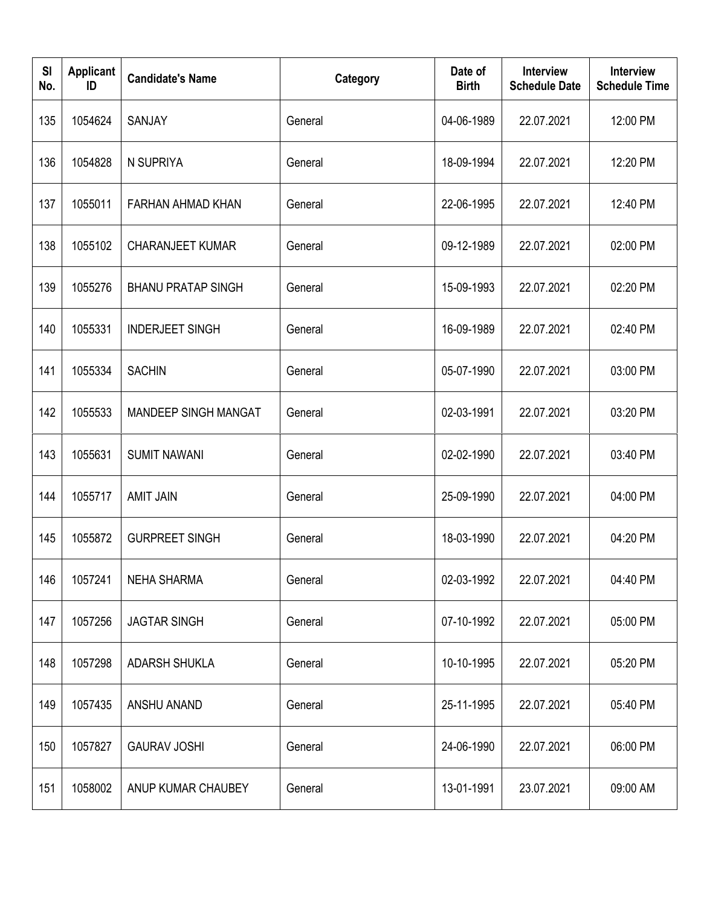| <b>SI</b><br>No. | <b>Applicant</b><br>ID | <b>Candidate's Name</b>     | Category | Date of<br><b>Birth</b> | <b>Interview</b><br><b>Schedule Date</b> | <b>Interview</b><br><b>Schedule Time</b> |
|------------------|------------------------|-----------------------------|----------|-------------------------|------------------------------------------|------------------------------------------|
| 135              | 1054624                | <b>SANJAY</b>               | General  | 04-06-1989              | 22.07.2021                               | 12:00 PM                                 |
| 136              | 1054828                | N SUPRIYA                   | General  | 18-09-1994              | 22.07.2021                               | 12:20 PM                                 |
| 137              | 1055011                | FARHAN AHMAD KHAN           | General  | 22-06-1995              | 22.07.2021                               | 12:40 PM                                 |
| 138              | 1055102                | <b>CHARANJEET KUMAR</b>     | General  | 09-12-1989              | 22.07.2021                               | 02:00 PM                                 |
| 139              | 1055276                | <b>BHANU PRATAP SINGH</b>   | General  | 15-09-1993              | 22.07.2021                               | 02:20 PM                                 |
| 140              | 1055331                | <b>INDERJEET SINGH</b>      | General  | 16-09-1989              | 22.07.2021                               | 02:40 PM                                 |
| 141              | 1055334                | <b>SACHIN</b>               | General  | 05-07-1990              | 22.07.2021                               | 03:00 PM                                 |
| 142              | 1055533                | <b>MANDEEP SINGH MANGAT</b> | General  | 02-03-1991              | 22.07.2021                               | 03:20 PM                                 |
| 143              | 1055631                | <b>SUMIT NAWANI</b>         | General  | 02-02-1990              | 22.07.2021                               | 03:40 PM                                 |
| 144              | 1055717                | <b>AMIT JAIN</b>            | General  | 25-09-1990              | 22.07.2021                               | 04:00 PM                                 |
| 145              | 1055872                | <b>GURPREET SINGH</b>       | General  | 18-03-1990              | 22.07.2021                               | 04:20 PM                                 |
| 146              | 1057241                | <b>NEHA SHARMA</b>          | General  | 02-03-1992              | 22.07.2021                               | 04:40 PM                                 |
| 147              | 1057256                | <b>JAGTAR SINGH</b>         | General  | 07-10-1992              | 22.07.2021                               | 05:00 PM                                 |
| 148              | 1057298                | <b>ADARSH SHUKLA</b>        | General  | 10-10-1995              | 22.07.2021                               | 05:20 PM                                 |
| 149              | 1057435                | ANSHU ANAND                 | General  | 25-11-1995              | 22.07.2021                               | 05:40 PM                                 |
| 150              | 1057827                | <b>GAURAV JOSHI</b>         | General  | 24-06-1990              | 22.07.2021                               | 06:00 PM                                 |
| 151              | 1058002                | ANUP KUMAR CHAUBEY          | General  | 13-01-1991              | 23.07.2021                               | 09:00 AM                                 |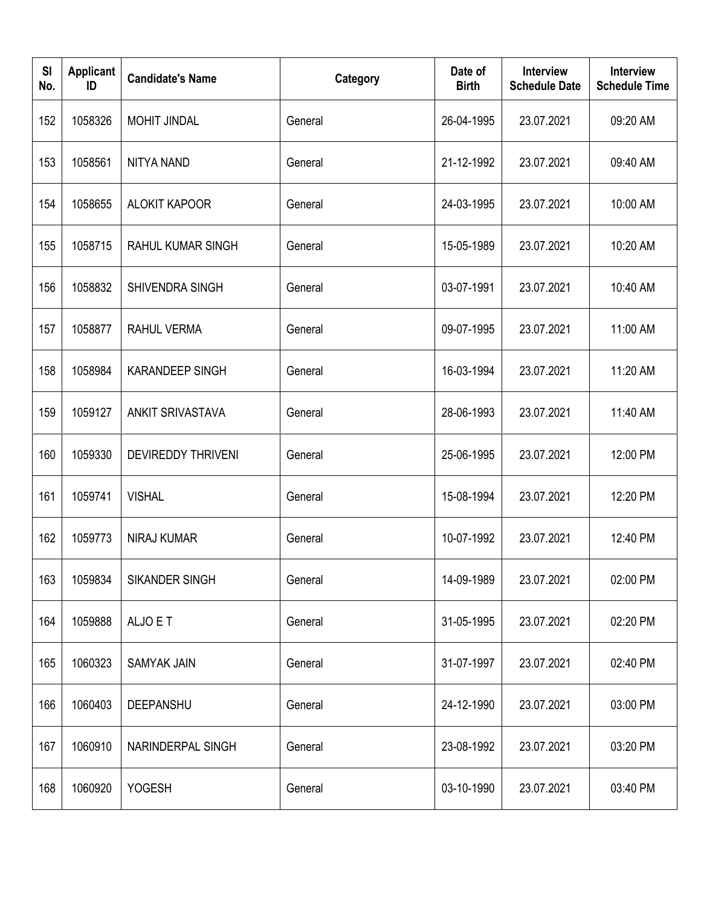| <b>SI</b><br>No. | <b>Applicant</b><br>ID | <b>Candidate's Name</b>   | Category | Date of<br><b>Birth</b> | <b>Interview</b><br><b>Schedule Date</b> | <b>Interview</b><br><b>Schedule Time</b> |
|------------------|------------------------|---------------------------|----------|-------------------------|------------------------------------------|------------------------------------------|
| 152              | 1058326                | <b>MOHIT JINDAL</b>       | General  | 26-04-1995              | 23.07.2021                               | 09:20 AM                                 |
| 153              | 1058561                | <b>NITYA NAND</b>         | General  | 21-12-1992              | 23.07.2021                               | 09:40 AM                                 |
| 154              | 1058655                | <b>ALOKIT KAPOOR</b>      | General  | 24-03-1995              | 23.07.2021                               | 10:00 AM                                 |
| 155              | 1058715                | <b>RAHUL KUMAR SINGH</b>  | General  | 15-05-1989              | 23.07.2021                               | 10:20 AM                                 |
| 156              | 1058832                | <b>SHIVENDRA SINGH</b>    | General  | 03-07-1991              | 23.07.2021                               | 10:40 AM                                 |
| 157              | 1058877                | <b>RAHUL VERMA</b>        | General  | 09-07-1995              | 23.07.2021                               | 11:00 AM                                 |
| 158              | 1058984                | <b>KARANDEEP SINGH</b>    | General  | 16-03-1994              | 23.07.2021                               | 11:20 AM                                 |
| 159              | 1059127                | <b>ANKIT SRIVASTAVA</b>   | General  | 28-06-1993              | 23.07.2021                               | 11:40 AM                                 |
| 160              | 1059330                | <b>DEVIREDDY THRIVENI</b> | General  | 25-06-1995              | 23.07.2021                               | 12:00 PM                                 |
| 161              | 1059741                | <b>VISHAL</b>             | General  | 15-08-1994              | 23.07.2021                               | 12:20 PM                                 |
| 162              | 1059773                | <b>NIRAJ KUMAR</b>        | General  | 10-07-1992              | 23.07.2021                               | 12:40 PM                                 |
| 163              | 1059834                | SIKANDER SINGH            | General  | 14-09-1989              | 23.07.2021                               | 02:00 PM                                 |
| 164              | 1059888                | ALJO E T                  | General  | 31-05-1995              | 23.07.2021                               | 02:20 PM                                 |
| 165              | 1060323                | SAMYAK JAIN               | General  | 31-07-1997              | 23.07.2021                               | 02:40 PM                                 |
| 166              | 1060403                | DEEPANSHU                 | General  | 24-12-1990              | 23.07.2021                               | 03:00 PM                                 |
| 167              | 1060910                | NARINDERPAL SINGH         | General  | 23-08-1992              | 23.07.2021                               | 03:20 PM                                 |
| 168              | 1060920                | <b>YOGESH</b>             | General  | 03-10-1990              | 23.07.2021                               | 03:40 PM                                 |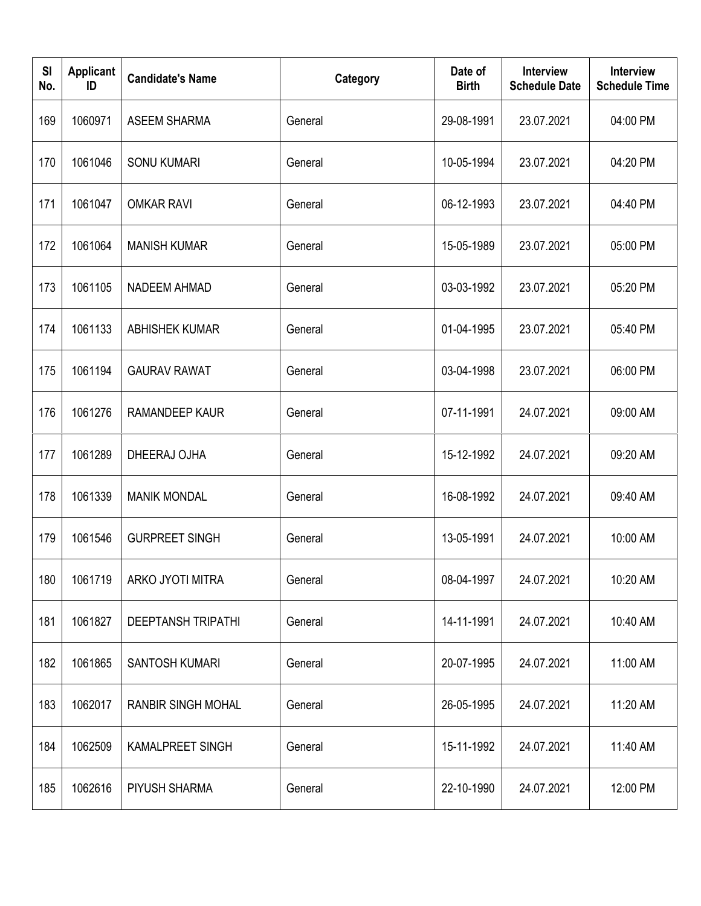| <b>SI</b><br>No. | <b>Applicant</b><br>ID | <b>Candidate's Name</b>   | Category | Date of<br><b>Birth</b> | <b>Interview</b><br><b>Schedule Date</b> | <b>Interview</b><br><b>Schedule Time</b> |
|------------------|------------------------|---------------------------|----------|-------------------------|------------------------------------------|------------------------------------------|
| 169              | 1060971                | <b>ASEEM SHARMA</b>       | General  | 29-08-1991              | 23.07.2021                               | 04:00 PM                                 |
| 170              | 1061046                | <b>SONU KUMARI</b>        | General  | 10-05-1994              | 23.07.2021                               | 04:20 PM                                 |
| 171              | 1061047                | <b>OMKAR RAVI</b>         | General  | 06-12-1993              | 23.07.2021                               | 04:40 PM                                 |
| 172              | 1061064                | <b>MANISH KUMAR</b>       | General  | 15-05-1989              | 23.07.2021                               | 05:00 PM                                 |
| 173              | 1061105                | <b>NADEEM AHMAD</b>       | General  | 03-03-1992              | 23.07.2021                               | 05:20 PM                                 |
| 174              | 1061133                | <b>ABHISHEK KUMAR</b>     | General  | 01-04-1995              | 23.07.2021                               | 05:40 PM                                 |
| 175              | 1061194                | <b>GAURAV RAWAT</b>       | General  | 03-04-1998              | 23.07.2021                               | 06:00 PM                                 |
| 176              | 1061276                | <b>RAMANDEEP KAUR</b>     | General  | 07-11-1991              | 24.07.2021                               | 09:00 AM                                 |
| 177              | 1061289                | DHEERAJ OJHA              | General  | 15-12-1992              | 24.07.2021                               | 09:20 AM                                 |
| 178              | 1061339                | <b>MANIK MONDAL</b>       | General  | 16-08-1992              | 24.07.2021                               | 09:40 AM                                 |
| 179              | 1061546                | <b>GURPREET SINGH</b>     | General  | 13-05-1991              | 24.07.2021                               | 10:00 AM                                 |
| 180              | 1061719                | ARKO JYOTI MITRA          | General  | 08-04-1997              | 24.07.2021                               | 10:20 AM                                 |
| 181              | 1061827                | <b>DEEPTANSH TRIPATHI</b> | General  | 14-11-1991              | 24.07.2021                               | 10:40 AM                                 |
| 182              | 1061865                | SANTOSH KUMARI            | General  | 20-07-1995              | 24.07.2021                               | 11:00 AM                                 |
| 183              | 1062017                | RANBIR SINGH MOHAL        | General  | 26-05-1995              | 24.07.2021                               | 11:20 AM                                 |
| 184              | 1062509                | <b>KAMALPREET SINGH</b>   | General  | 15-11-1992              | 24.07.2021                               | 11:40 AM                                 |
| 185              | 1062616                | PIYUSH SHARMA             | General  | 22-10-1990              | 24.07.2021                               | 12:00 PM                                 |